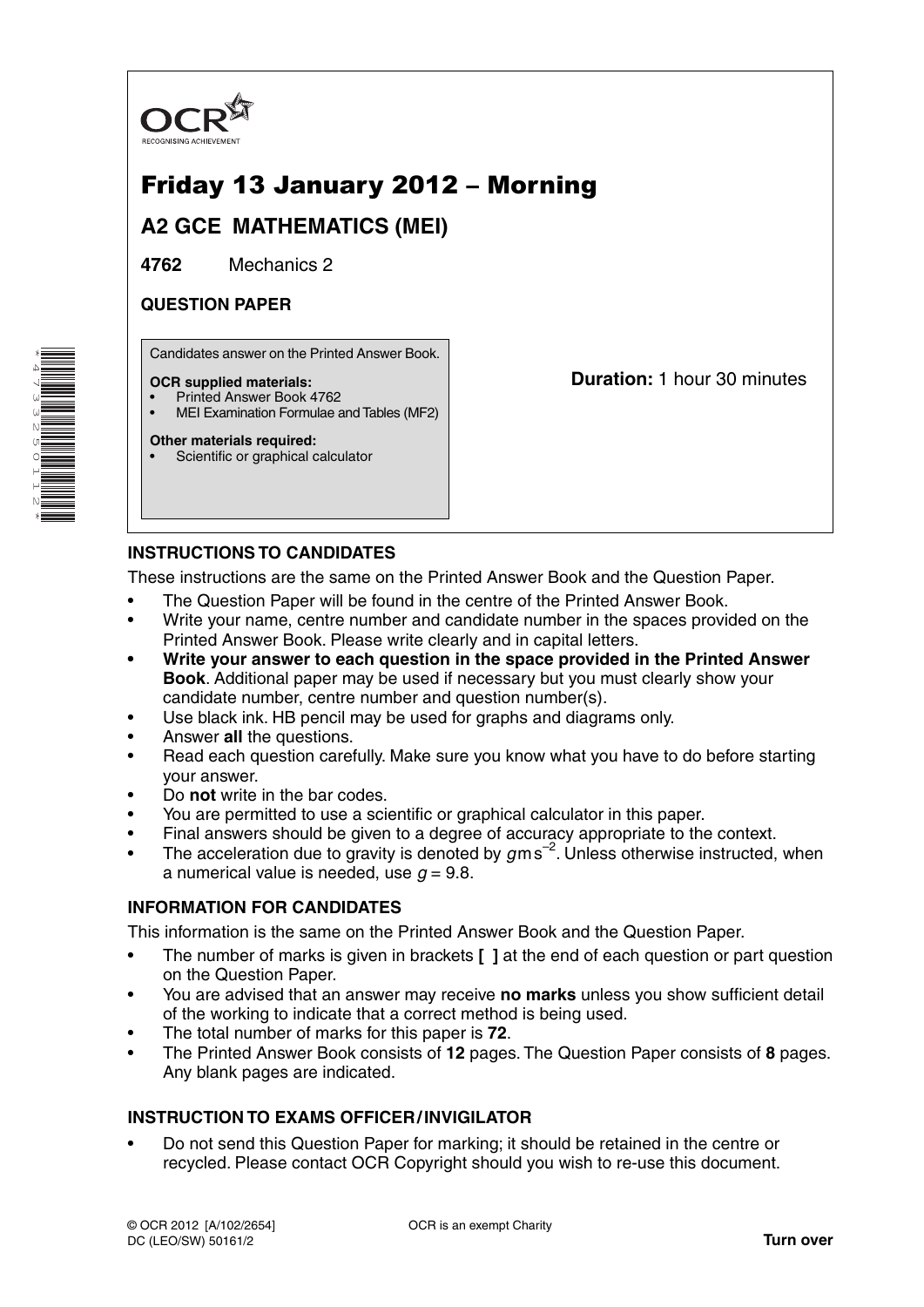

# Friday 13 January 2012 – Morning

## **A2 GCE MATHEMATICS (MEI)**

**4762** Mechanics 2

## **QUESTION PAPER**

Candidates answer on the Printed Answer Book.

#### **OCR supplied materials:**

\*4733250112\*

- Printed Answer Book 4762
- MEI Examination Formulae and Tables (MF2)

#### **Other materials required:**

Scientific or graphical calculator

**Duration:** 1 hour 30 minutes

## **INSTRUCTIONS TO CANDIDATES**

These instructions are the same on the Printed Answer Book and the Question Paper.

- The Question Paper will be found in the centre of the Printed Answer Book.
- Write your name, centre number and candidate number in the spaces provided on the Printed Answer Book. Please write clearly and in capital letters.
- **Write your answer to each question in the space provided in the Printed Answer Book**. Additional paper may be used if necessary but you must clearly show your candidate number, centre number and question number(s).
- Use black ink. HB pencil may be used for graphs and diagrams only.
- Answer **all** the questions.
- Read each question carefully. Make sure you know what you have to do before starting your answer.
- Do **not** write in the bar codes.
- You are permitted to use a scientific or graphical calculator in this paper.
- Final answers should be given to a degree of accuracy appropriate to the context.
- The acceleration due to gravity is denoted by  $g$ m s<sup>-2</sup>. Unless otherwise instructed, when a numerical value is needed, use  $q = 9.8$ .

### **INFORMATION FOR CANDIDATES**

This information is the same on the Printed Answer Book and the Question Paper.

- The number of marks is given in brackets **[ ]** at the end of each question or part question on the Question Paper.
- You are advised that an answer may receive **no marks** unless you show sufficient detail of the working to indicate that a correct method is being used.
- The total number of marks for this paper is **72**.
- The Printed Answer Book consists of **12** pages. The Question Paper consists of **8** pages. Any blank pages are indicated.

### **INSTRUCTION TO EXAMS OFFICER / INVIGILATOR**

• Do not send this Question Paper for marking; it should be retained in the centre or recycled. Please contact OCR Copyright should you wish to re-use this document.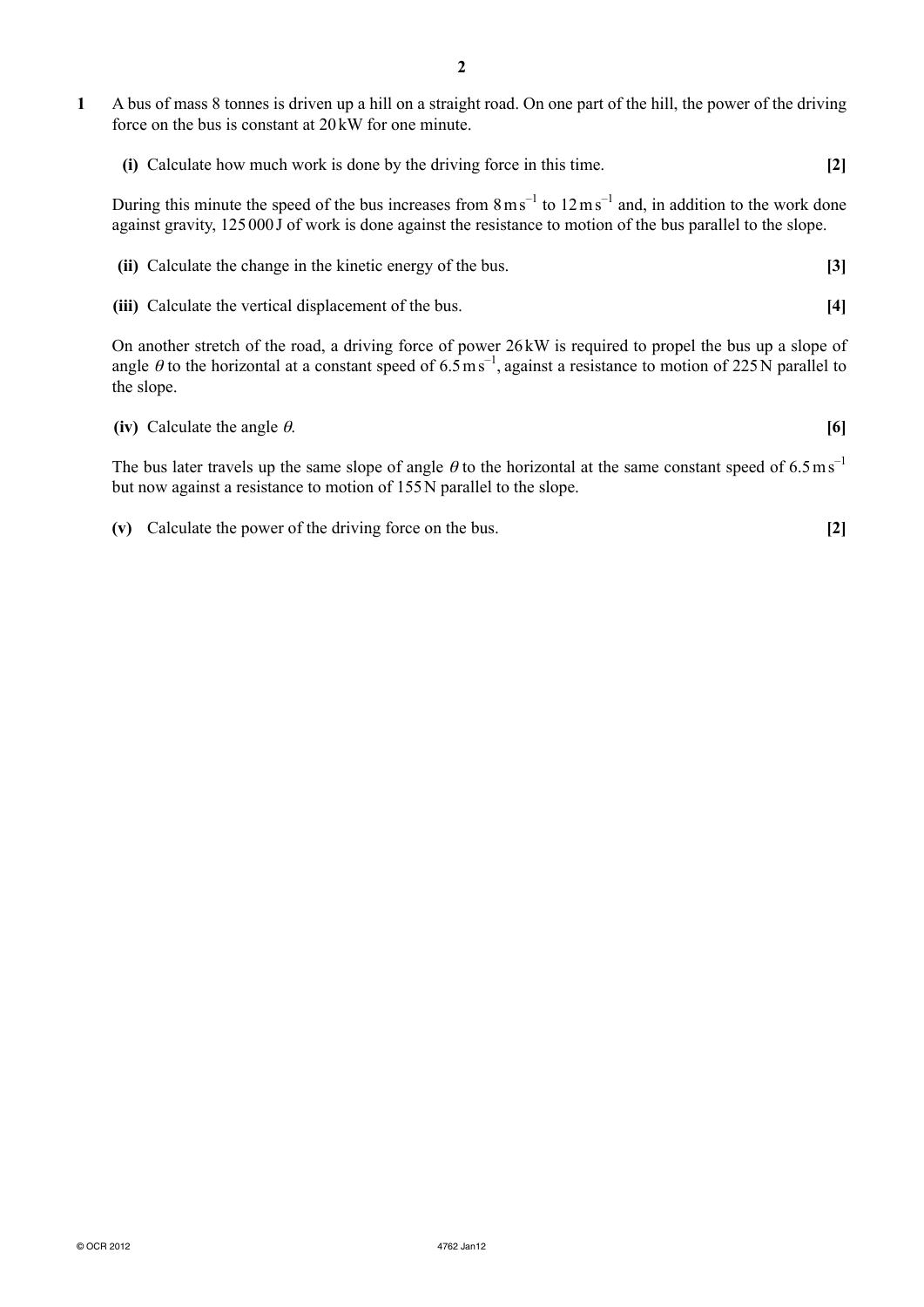**1** A bus of mass 8 tonnes is driven up a hill on a straight road. On one part of the hill, the power of the driving force on the bus is constant at 20 kW for one minute.

| (i) Calculate how much work is done by the driving force in this time. | $[2]$ |
|------------------------------------------------------------------------|-------|
|------------------------------------------------------------------------|-------|

During this minute the speed of the bus increases from  $8 \text{ m s}^{-1}$  to  $12 \text{ m s}^{-1}$  and, in addition to the work done against gravity, 125 000 J of work is done against the resistance to motion of the bus parallel to the slope.

- **(ii)** Calculate the change in the kinetic energy of the bus. **[3]**
- **(iii)** Calculate the vertical displacement of the bus. **[4]**

On another stretch of the road, a driving force of power 26 kW is required to propel the bus up a slope of angle  $\theta$  to the horizontal at a constant speed of 6.5 m s<sup>-1</sup>, against a resistance to motion of 225 N parallel to the slope.

**(iv)** Calculate the angle  $\theta$ . **[6]** 

The bus later travels up the same slope of angle  $\theta$  to the horizontal at the same constant speed of 6.5 m s<sup>-1</sup> but now against a resistance to motion of 155 N parallel to the slope.

 **(v)** Calculate the power of the driving force on the bus. **[2]**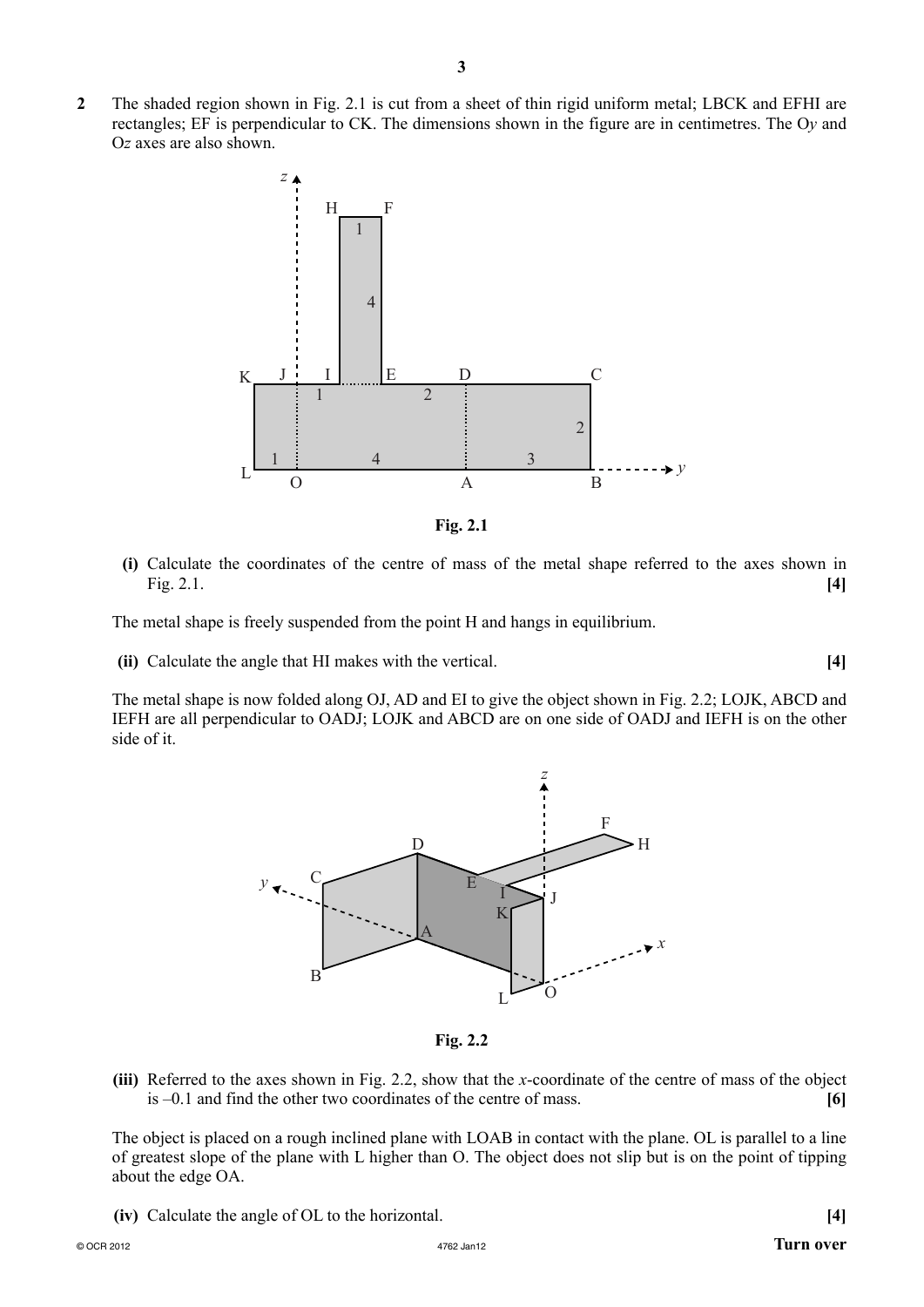**3**



**Fig. 2.1**

 **(i)** Calculate the coordinates of the centre of mass of the metal shape referred to the axes shown in Fig. 2.1. **[4]**

The metal shape is freely suspended from the point H and hangs in equilibrium.

 **(ii)** Calculate the angle that HI makes with the vertical. **[4]**

The metal shape is now folded along OJ, AD and EI to give the object shown in Fig. 2.2; LOJK, ABCD and IEFH are all perpendicular to OADJ; LOJK and ABCD are on one side of OADJ and IEFH is on the other side of it.



**Fig. 2.2**

 **(iii)** Referred to the axes shown in Fig. 2.2, show that the *x*-coordinate of the centre of mass of the object is –0.1 and find the other two coordinates of the centre of mass. **[6]**

The object is placed on a rough inclined plane with LOAB in contact with the plane. OL is parallel to a line of greatest slope of the plane with L higher than O. The object does not slip but is on the point of tipping about the edge OA.

 **(iv)** Calculate the angle of OL to the horizontal. **[4]**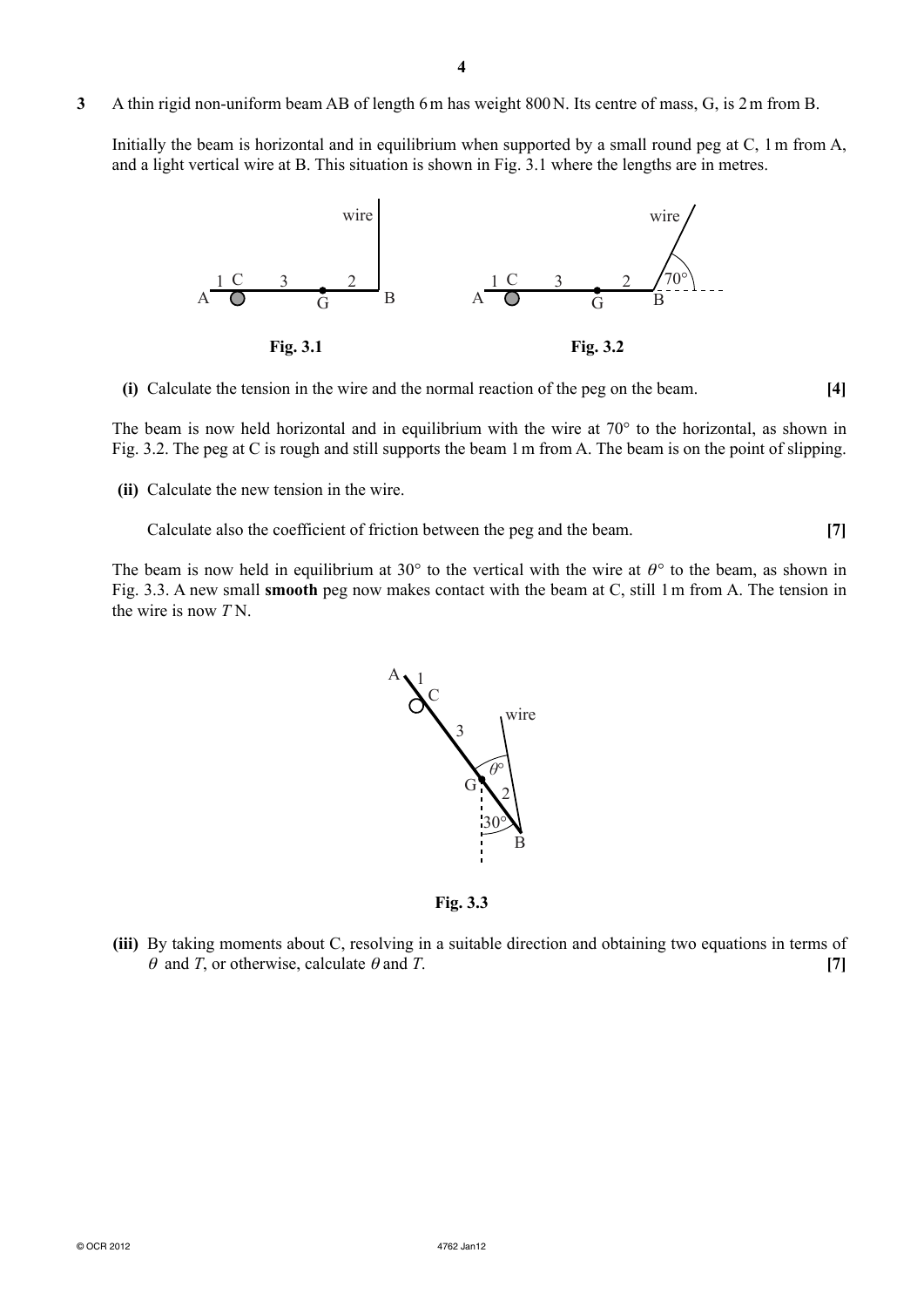**3** A thin rigid non-uniform beam AB of length 6 m has weight 800 N. Its centre of mass, G, is 2 m from B.

Initially the beam is horizontal and in equilibrium when supported by a small round peg at C, 1 m from A, and a light vertical wire at B. This situation is shown in Fig. 3.1 where the lengths are in metres.



 **(i)** Calculate the tension in the wire and the normal reaction of the peg on the beam. **[4]**

The beam is now held horizontal and in equilibrium with the wire at 70° to the horizontal, as shown in Fig. 3.2. The peg at C is rough and still supports the beam 1 m from A. The beam is on the point of slipping.

 **(ii)** Calculate the new tension in the wire.

Calculate also the coefficient of friction between the peg and the beam. **[7]**

The beam is now held in equilibrium at 30 $^{\circ}$  to the vertical with the wire at  $\theta$  $^{\circ}$  to the beam, as shown in Fig. 3.3. A new small **smooth** peg now makes contact with the beam at C, still 1 m from A. The tension in the wire is now *T* N.



**Fig. 3.3**

 **(iii)** By taking moments about C, resolving in a suitable direction and obtaining two equations in terms of  $\theta$  and *T*, or otherwise, calculate  $\theta$  and *T*. [7]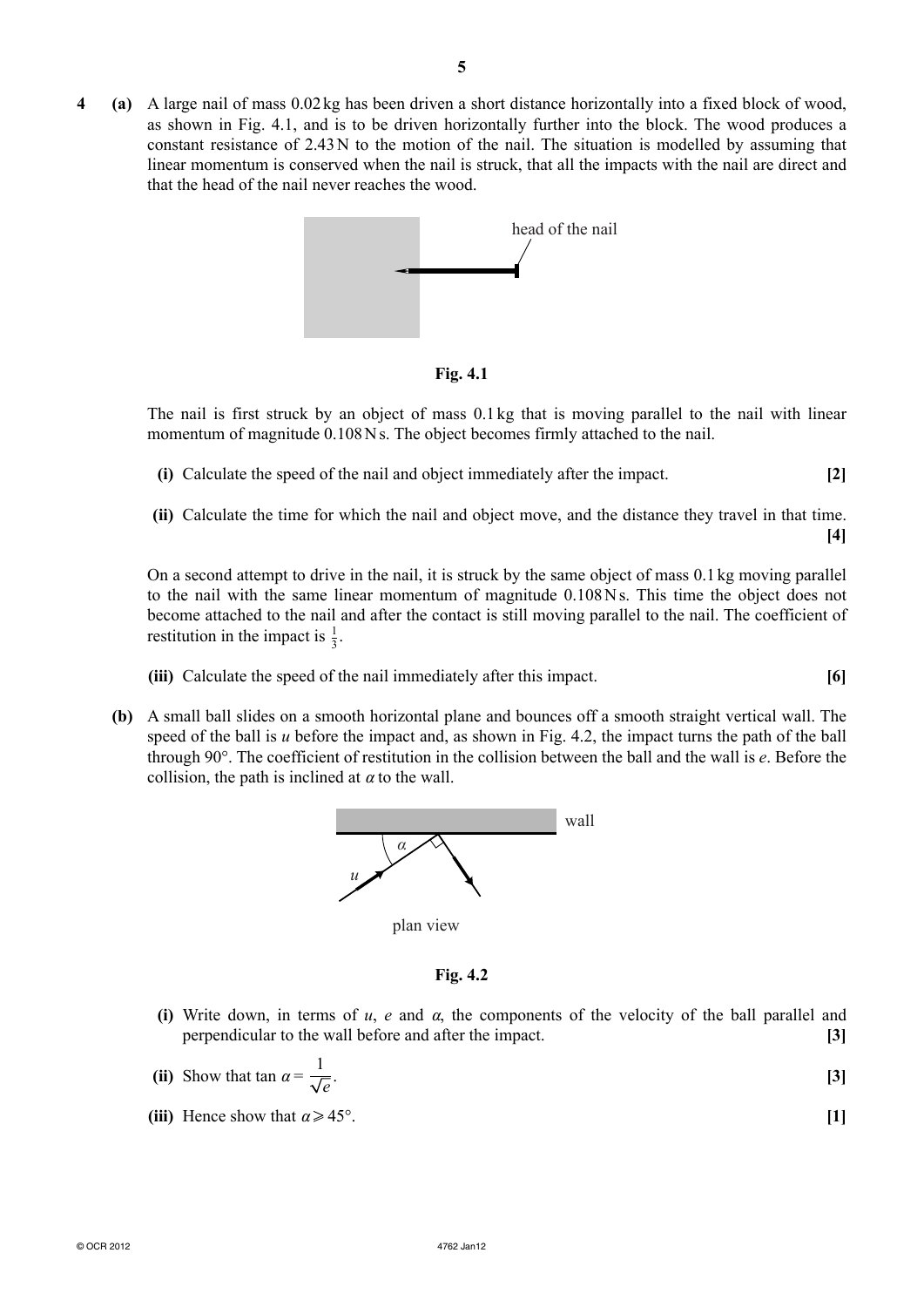**4 (a)** A large nail of mass 0.02 kg has been driven a short distance horizontally into a fixed block of wood, as shown in Fig. 4.1, and is to be driven horizontally further into the block. The wood produces a constant resistance of 2.43 N to the motion of the nail. The situation is modelled by assuming that linear momentum is conserved when the nail is struck, that all the impacts with the nail are direct and that the head of the nail never reaches the wood.



**Fig. 4.1**

The nail is first struck by an object of mass 0.1 kg that is moving parallel to the nail with linear momentum of magnitude  $0.108 \text{ N}$  s. The object becomes firmly attached to the nail.

- **(i)** Calculate the speed of the nail and object immediately after the impact. **[2]**
- **(ii)** Calculate the time for which the nail and object move, and the distance they travel in that time. **[4]**

On a second attempt to drive in the nail, it is struck by the same object of mass 0.1 kg moving parallel to the nail with the same linear momentum of magnitude  $0.108$  Ns. This time the object does not become attached to the nail and after the contact is still moving parallel to the nail. The coefficient of restitution in the impact is  $\frac{1}{3}$ .

- **(iii)** Calculate the speed of the nail immediately after this impact. **[6]**
- **(b)** A small ball slides on a smooth horizontal plane and bounces off a smooth straight vertical wall. The speed of the ball is *u* before the impact and, as shown in Fig. 4.2, the impact turns the path of the ball through 90°. The coefficient of restitution in the collision between the ball and the wall is *e*. Before the collision, the path is inclined at  $\alpha$  to the wall.



**Fig. 4.2**

- **(i)** Write down, in terms of  $u$ ,  $e$  and  $\alpha$ , the components of the velocity of the ball parallel and perpendicular to the wall before and after the impact. **[3]**
- **(ii)** Show that tan  $\alpha = \frac{1}{\sqrt{2}}$ *e* . **[3]**
	- **(iii)** Hence show that  $\alpha \ge 45^{\circ}$ . [1]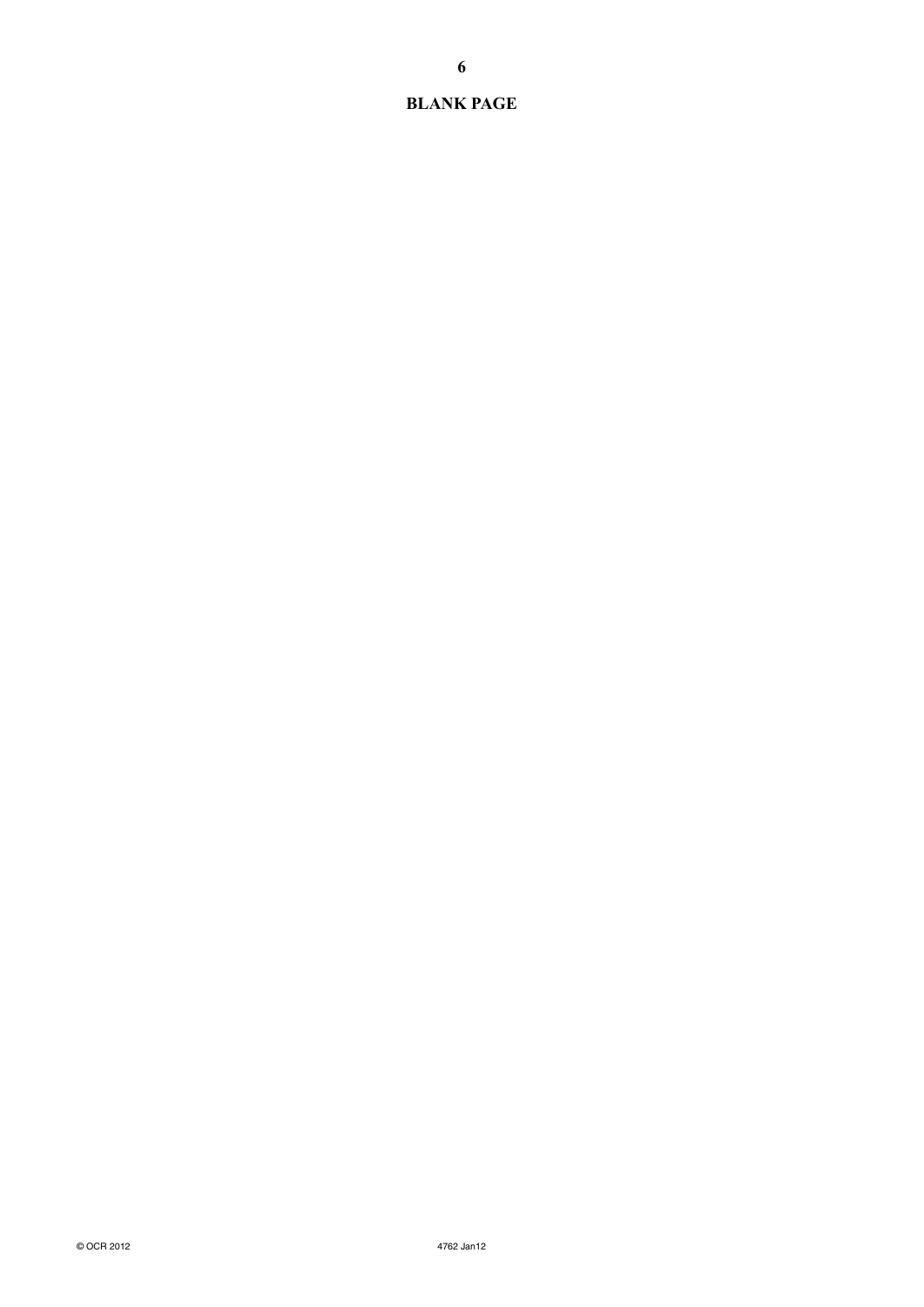#### **BLANK PAGE**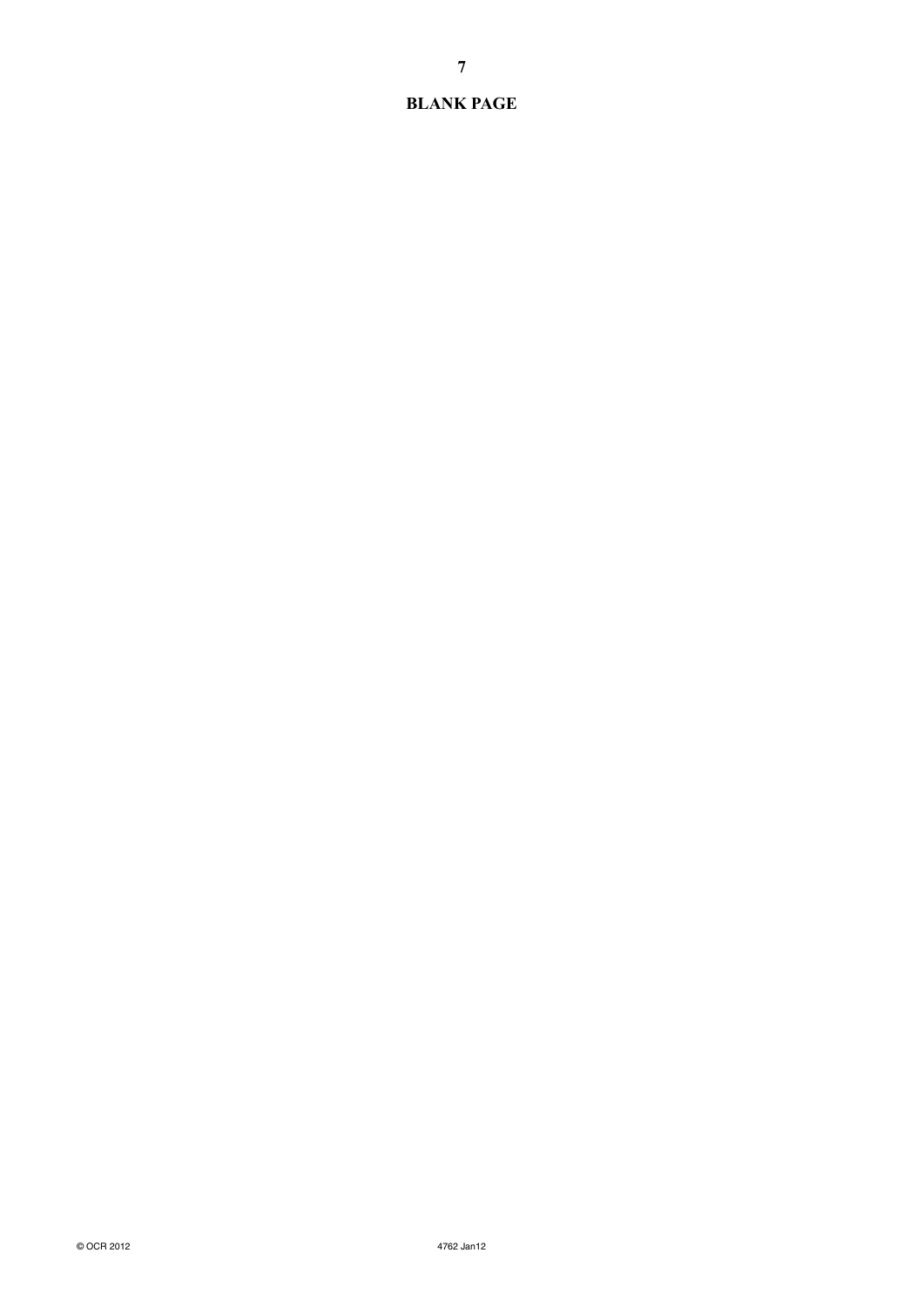#### **BLANK PAGE**